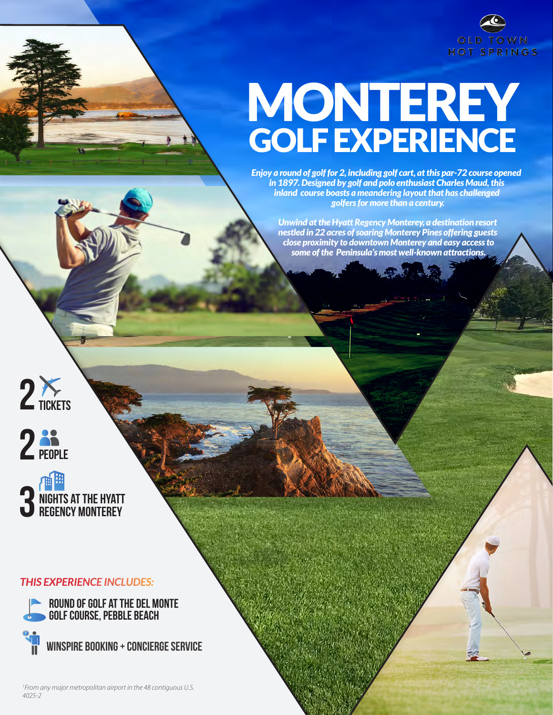

# MONTEREY GOLF EXPERIENCE

*Enjoy a round of golf for 2, including golf cart, at this par-72 course opened in 1897. Designed by golf and polo enthusiast Charles Maud, this inland course boasts a meandering layout that has challenged golfers for more than a century.* 

*Unwind at the Hyatt Regency Monterey, a destination resort nestled in 22 acres of soaring Monterey Pines offering guests close proximity to downtown Monterey and easy access to some of the Peninsula's most well-known attractions.*







### *THIS EXPERIENCE INCLUDES:*

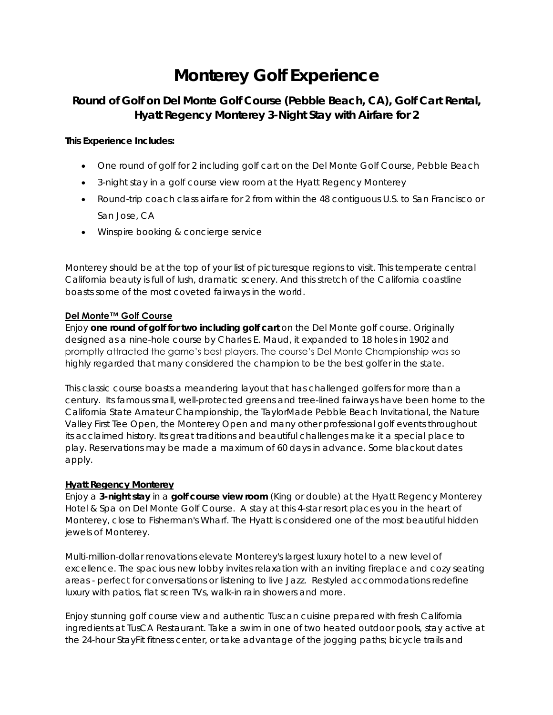# **Monterey Golf Experience**

## **Round of Golf on Del Monte Golf Course (Pebble Beach, CA), Golf Cart Rental, Hyatt Regency Monterey 3-Night Stay with Airfare for 2**

**This Experience Includes:**

- One round of golf for 2 including golf cart on the Del Monte Golf Course, Pebble Beach
- 3-night stay in a golf course view room at the Hyatt Regency Monterey
- Round-trip coach class airfare for 2 from within the 48 contiguous U.S. to San Francisco or San Jose, CA
- Winspire booking & concierge service

Monterey should be at the top of your list of picturesque regions to visit. This temperate central California beauty is full of lush, dramatic scenery. And this stretch of the California coastline boasts some of the most coveted fairways in the world.

#### **Del Monte™ Golf Course**

Enjoy **one round of golf for two including golf cart** on the Del Monte golf course. Originally designed as a nine-hole course by Charles E. Maud, it expanded to 18 holes in 1902 and promptly attracted the game's best players. The course's Del Monte Championship was so highly regarded that many considered the champion to be the best golfer in the state.

This classic course boasts a meandering layout that has challenged golfers for more than a century. Its famous small, well-protected greens and tree-lined fairways have been home to the California State Amateur Championship, the TaylorMade Pebble Beach Invitational, the Nature Valley First Tee Open, the Monterey Open and many other professional golf events throughout its acclaimed history. Its great traditions and beautiful challenges make it a special place to play. Reservations may be made a maximum of 60 days in advance. Some blackout dates apply.

#### **Hyatt Regency Monterey**

Enjoy a **3-night stay** in a **golf course view room** (King or double) at the Hyatt Regency Monterey Hotel & Spa on Del Monte Golf Course. A stay at this 4-star resort places you in the heart of Monterey, close to Fisherman's Wharf. The Hyatt is considered one of the most beautiful hidden jewels of Monterey.

Multi-million-dollar renovations elevate Monterey's largest luxury hotel to a new level of excellence. The spacious new lobby invites relaxation with an inviting fireplace and cozy seating areas - perfect for conversations or listening to live Jazz. Restyled accommodations redefine luxury with patios, flat screen TVs, walk-in rain showers and more.

Enjoy stunning golf course view and authentic Tuscan cuisine prepared with fresh California ingredients at TusCA Restaurant. Take a swim in one of two heated outdoor pools, stay active at the 24-hour StayFit fitness center, or take advantage of the jogging paths; bicycle trails and